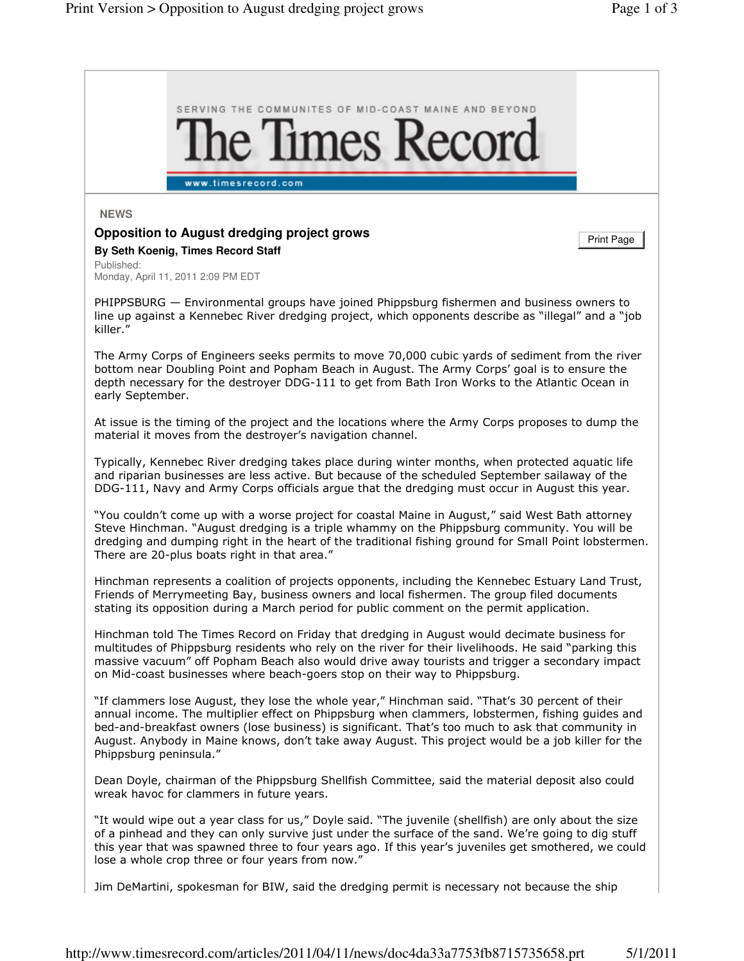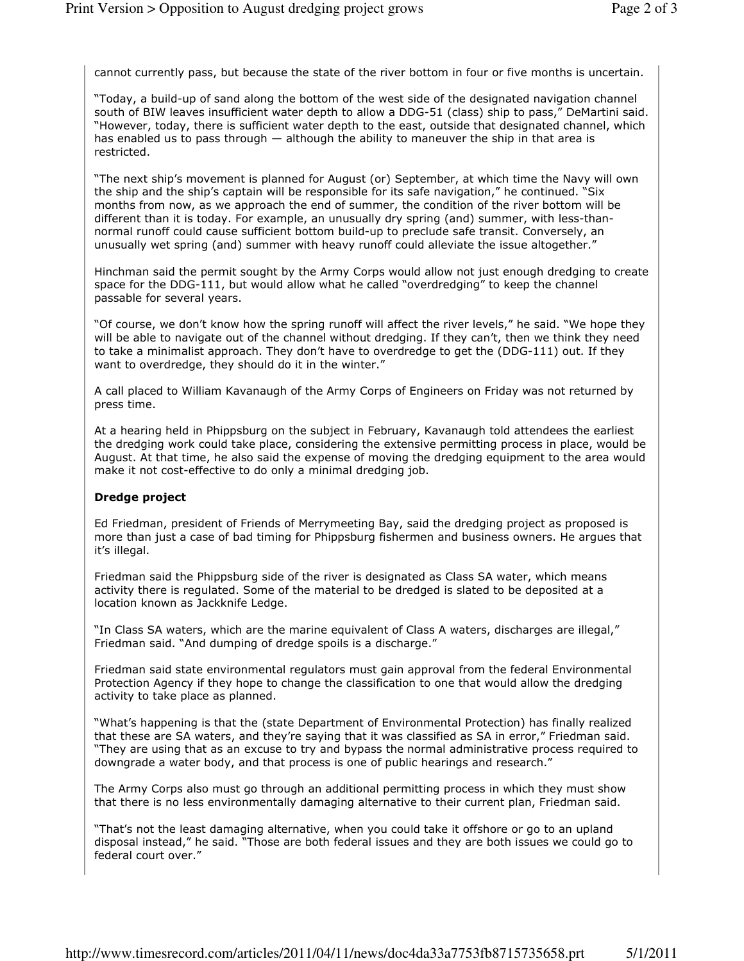cannot currently pass, but because the state of the river bottom in four or five months is uncertain.

"Today, a build-up of sand along the bottom of the west side of the designated navigation channel south of BIW leaves insufficient water depth to allow a DDG-51 (class) ship to pass," DeMartini said. "However, today, there is sufficient water depth to the east, outside that designated channel, which has enabled us to pass through – although the ability to maneuver the ship in that area is restricted.

"The next ship's movement is planned for August (or) September, at which time the Navy will own the ship and the ship's captain will be responsible for its safe navigation," he continued. "Six months from now, as we approach the end of summer, the condition of the river bottom will be different than it is today. For example, an unusually dry spring (and) summer, with less-thannormal runoff could cause sufficient bottom build-up to preclude safe transit. Conversely, an unusually wet spring (and) summer with heavy runoff could alleviate the issue altogether."

Hinchman said the permit sought by the Army Corps would allow not just enough dredging to create space for the DDG-111, but would allow what he called "overdredging" to keep the channel passable for several years.

"Of course, we don't know how the spring runoff will affect the river levels," he said. "We hope they will be able to navigate out of the channel without dredging. If they can't, then we think they need to take a minimalist approach. They don't have to overdredge to get the (DDG-111) out. If they want to overdredge, they should do it in the winter."

A call placed to William Kavanaugh of the Army Corps of Engineers on Friday was not returned by press time.

At a hearing held in Phippsburg on the subject in February, Kavanaugh told attendees the earliest the dredging work could take place, considering the extensive permitting process in place, would be August. At that time, he also said the expense of moving the dredging equipment to the area would make it not cost-effective to do only a minimal dredging job.

## Dredge project

Ed Friedman, president of Friends of Merrymeeting Bay, said the dredging project as proposed is more than just a case of bad timing for Phippsburg fishermen and business owners. He argues that it's illegal.

Friedman said the Phippsburg side of the river is designated as Class SA water, which means activity there is regulated. Some of the material to be dredged is slated to be deposited at a location known as Jackknife Ledge.

"In Class SA waters, which are the marine equivalent of Class A waters, discharges are illegal," Friedman said. "And dumping of dredge spoils is a discharge."

Friedman said state environmental regulators must gain approval from the federal Environmental Protection Agency if they hope to change the classification to one that would allow the dredging activity to take place as planned.

"What's happening is that the (state Department of Environmental Protection) has finally realized that these are SA waters, and they're saying that it was classified as SA in error," Friedman said. "They are using that as an excuse to try and bypass the normal administrative process required to downgrade a water body, and that process is one of public hearings and research."

The Army Corps also must go through an additional permitting process in which they must show that there is no less environmentally damaging alternative to their current plan, Friedman said.

"That's not the least damaging alternative, when you could take it offshore or go to an upland disposal instead," he said. "Those are both federal issues and they are both issues we could go to federal court over."